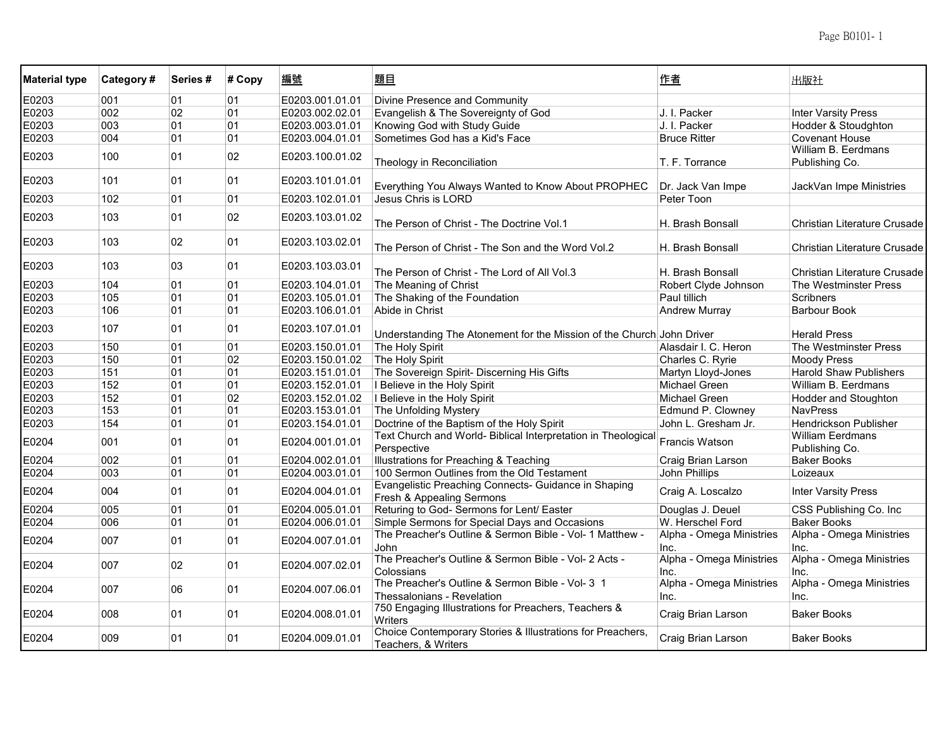| <b>Material type</b> | Category# | Series# | # Copy | 編號              | 題目                                                                                | 作者                               | 出版社                                       |
|----------------------|-----------|---------|--------|-----------------|-----------------------------------------------------------------------------------|----------------------------------|-------------------------------------------|
| E0203                | 001       | 01      | 01     | E0203.001.01.01 | Divine Presence and Community                                                     |                                  |                                           |
| E0203                | 002       | 02      | 01     | E0203.002.02.01 | Evangelish & The Sovereignty of God                                               | J. I. Packer                     | <b>Inter Varsity Press</b>                |
| E0203                | 003       | 01      | 01     | E0203.003.01.01 | Knowing God with Study Guide                                                      | J. I. Packer                     | Hodder & Stoudghton                       |
| E0203                | 004       | 01      | 01     | E0203.004.01.01 | Sometimes God has a Kid's Face                                                    | <b>Bruce Ritter</b>              | <b>Covenant House</b>                     |
| E0203                | 100       | 01      | 02     | E0203.100.01.02 | Theology in Reconciliation                                                        | T. F. Torrance                   | William B. Eerdmans<br>Publishing Co.     |
| E0203                | 101       | 01      | 01     | E0203.101.01.01 | Everything You Always Wanted to Know About PROPHEC                                | Dr. Jack Van Impe                | JackVan Impe Ministries                   |
| E0203                | 102       | 01      | 01     | E0203.102.01.01 | Jesus Chris is LORD                                                               | Peter Toon                       |                                           |
| E0203                | 103       | 01      | 02     | E0203.103.01.02 | The Person of Christ - The Doctrine Vol.1                                         | H. Brash Bonsall                 | Christian Literature Crusade              |
| E0203                | 103       | 02      | 01     | E0203.103.02.01 | The Person of Christ - The Son and the Word Vol.2                                 | H. Brash Bonsall                 | Christian Literature Crusade              |
| E0203                | 103       | 03      | 01     | E0203.103.03.01 | The Person of Christ - The Lord of All Vol.3                                      | H. Brash Bonsall                 | Christian Literature Crusade              |
| E0203                | 104       | 01      | 01     | E0203.104.01.01 | The Meaning of Christ                                                             | Robert Clyde Johnson             | The Westminster Press                     |
| E0203                | 105       | 01      | 01     | E0203.105.01.01 | The Shaking of the Foundation                                                     | Paul tillich                     | <b>Scribners</b>                          |
| E0203                | 106       | 01      | 01     | E0203.106.01.01 | Abide in Christ                                                                   | <b>Andrew Murray</b>             | <b>Barbour Book</b>                       |
| E0203                | 107       | 01      | 01     | E0203.107.01.01 | Understanding The Atonement for the Mission of the Church John Driver             |                                  | <b>Herald Press</b>                       |
| E0203                | 150       | 01      | 01     | E0203.150.01.01 | The Holy Spirit                                                                   | Alasdair I. C. Heron             | The Westminster Press                     |
| E0203                | 150       | 01      | 02     | E0203.150.01.02 | The Holy Spirit                                                                   | Charles C. Ryrie                 | <b>Moody Press</b>                        |
| E0203                | 151       | 01      | 01     | E0203.151.01.01 | The Sovereign Spirit- Discerning His Gifts                                        | Martyn Lloyd-Jones               | <b>Harold Shaw Publishers</b>             |
| E0203                | 152       | 01      | 01     | E0203.152.01.01 | I Believe in the Holy Spirit                                                      | Michael Green                    | William B. Eerdmans                       |
| E0203                | 152       | 01      | 02     | E0203.152.01.02 | I Believe in the Holy Spirit                                                      | Michael Green                    | <b>Hodder and Stoughton</b>               |
| E0203                | 153       | 01      | 01     | E0203.153.01.01 | The Unfolding Mystery                                                             | Edmund P. Clowney                | <b>NavPress</b>                           |
| E0203                | 154       | 01      | 01     | E0203.154.01.01 | Doctrine of the Baptism of the Holy Spirit                                        | John L. Gresham Jr.              | <b>Hendrickson Publisher</b>              |
| E0204                | 001       | 01      | 01     | E0204.001.01.01 | Text Church and World- Biblical Interpretation in Theological<br>Perspective      | Francis Watson                   | <b>William Eerdmans</b><br>Publishing Co. |
| E0204                | 002       | 01      | 01     | E0204.002.01.01 | Illustrations for Preaching & Teaching                                            | Craig Brian Larson               | <b>Baker Books</b>                        |
| E0204                | 003       | 01      | 01     | E0204.003.01.01 | 100 Sermon Outlines from the Old Testament                                        | John Phillips                    | Loizeaux                                  |
| E0204                | 004       | 01      | 01     | E0204.004.01.01 | Evangelistic Preaching Connects- Guidance in Shaping<br>Fresh & Appealing Sermons | Craig A. Loscalzo                | <b>Inter Varsity Press</b>                |
| E0204                | 005       | 01      | 01     | E0204.005.01.01 | Returing to God- Sermons for Lent/ Easter                                         | Douglas J. Deuel                 | CSS Publishing Co. Inc                    |
| E0204                | 006       | 01      | 01     | E0204.006.01.01 | Simple Sermons for Special Days and Occasions                                     | W. Herschel Ford                 | <b>Baker Books</b>                        |
| E0204                | 007       | 01      | 01     | E0204.007.01.01 | The Preacher's Outline & Sermon Bible - Vol- 1 Matthew -<br>John                  | Alpha - Omega Ministries<br>Inc. | Alpha - Omega Ministries<br>Inc.          |
| E0204                | 007       | 02      | 01     | E0204.007.02.01 | The Preacher's Outline & Sermon Bible - Vol- 2 Acts -<br>Colossians               | Alpha - Omega Ministries<br>Inc. | Alpha - Omega Ministries<br>Inc.          |
| E0204                | 007       | 06      | 01     | E0204.007.06.01 | The Preacher's Outline & Sermon Bible - Vol- 3 1<br>Thessalonians - Revelation    | Alpha - Omega Ministries<br>Inc. | Alpha - Omega Ministries<br>Inc.          |
| E0204                | 008       | 01      | 01     | E0204.008.01.01 | 750 Engaging Illustrations for Preachers, Teachers &<br>Writers                   | Craig Brian Larson               | <b>Baker Books</b>                        |
| E0204                | 009       | 01      | 01     | E0204.009.01.01 | Choice Contemporary Stories & Illustrations for Preachers,<br>Teachers, & Writers | Craig Brian Larson               | <b>Baker Books</b>                        |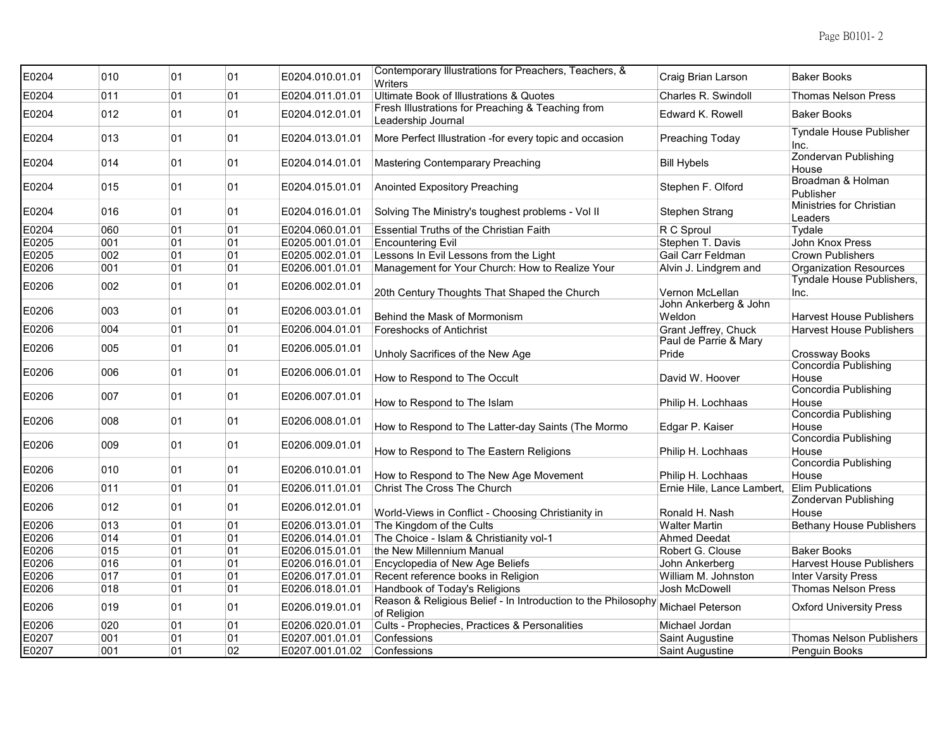| E0204 | 010 | 01 | 01 | E0204.010.01.01 | Contemporary Illustrations for Preachers, Teachers, &<br><b>Writers</b> | Craig Brian Larson         | <b>Baker Books</b>                     |
|-------|-----|----|----|-----------------|-------------------------------------------------------------------------|----------------------------|----------------------------------------|
| E0204 | 011 | 01 | 01 | E0204.011.01.01 | Ultimate Book of Illustrations & Quotes                                 | Charles R. Swindoll        | <b>Thomas Nelson Press</b>             |
| E0204 | 012 | 01 | 01 | E0204.012.01.01 | Fresh Illustrations for Preaching & Teaching from<br>Leadership Journal | Edward K. Rowell           | <b>Baker Books</b>                     |
| E0204 | 013 | 01 | 01 | E0204.013.01.01 | More Perfect Illustration -for every topic and occasion                 | Preaching Today            | <b>Tyndale House Publisher</b><br>Inc. |
| E0204 | 014 | 01 | 01 | E0204.014.01.01 | Mastering Contemparary Preaching                                        | <b>Bill Hybels</b>         | <b>Zondervan Publishing</b><br>House   |
| E0204 | 015 | 01 | 01 | E0204.015.01.01 | <b>Anointed Expository Preaching</b>                                    | Stephen F. Olford          | Broadman & Holman<br>Publisher         |
| E0204 | 016 | 01 | 01 | E0204.016.01.01 | Solving The Ministry's toughest problems - Vol II                       | Stephen Strang             | Ministries for Christian<br>Leaders    |
| E0204 | 060 | 01 | 01 | E0204.060.01.01 | <b>Essential Truths of the Christian Faith</b>                          | R C Sproul                 | Tydale                                 |
| E0205 | 001 | 01 | 01 | E0205.001.01.01 | <b>Encountering Evil</b>                                                | Stephen T. Davis           | John Knox Press                        |
| E0205 | 002 | 01 | 01 | E0205.002.01.01 | Lessons In Evil Lessons from the Light                                  | Gail Carr Feldman          | <b>Crown Publishers</b>                |
| E0206 | 001 | 01 | 01 | E0206.001.01.01 | Management for Your Church: How to Realize Your                         | Alvin J. Lindgrem and      | <b>Organization Resources</b>          |
|       |     |    |    |                 |                                                                         |                            | Tyndale House Publishers,              |
| E0206 | 002 | 01 | 01 | E0206.002.01.01 | 20th Century Thoughts That Shaped the Church                            | Vernon McLellan            | Inc.                                   |
|       |     |    |    |                 |                                                                         | John Ankerberg & John      |                                        |
| E0206 | 003 | 01 | 01 | E0206.003.01.01 | Behind the Mask of Mormonism                                            | Weldon                     | <b>Harvest House Publishers</b>        |
| E0206 | 004 | 01 | 01 | E0206.004.01.01 | <b>Foreshocks of Antichrist</b>                                         | Grant Jeffrey, Chuck       | <b>Harvest House Publishers</b>        |
|       |     |    |    |                 |                                                                         | Paul de Parrie & Mary      |                                        |
| E0206 | 005 | 01 | 01 | E0206.005.01.01 | Unholy Sacrifices of the New Age                                        | Pride                      | <b>Crossway Books</b>                  |
|       |     |    |    |                 |                                                                         |                            | Concordia Publishing                   |
| E0206 | 006 | 01 | 01 | E0206.006.01.01 | How to Respond to The Occult                                            | David W. Hoover            | House                                  |
|       |     |    |    |                 |                                                                         |                            | <b>Concordia Publishing</b>            |
| E0206 | 007 | 01 | 01 | E0206.007.01.01 | How to Respond to The Islam                                             | Philip H. Lochhaas         | House                                  |
|       |     |    |    |                 |                                                                         |                            | <b>Concordia Publishing</b>            |
| E0206 | 008 | 01 | 01 | E0206.008.01.01 | How to Respond to The Latter-day Saints (The Mormo                      | Edgar P. Kaiser            | House                                  |
|       |     |    |    |                 |                                                                         |                            | Concordia Publishing                   |
| E0206 | 009 | 01 | 01 | E0206.009.01.01 | How to Respond to The Eastern Religions                                 | Philip H. Lochhaas         | House                                  |
|       |     |    |    |                 |                                                                         |                            | <b>Concordia Publishing</b>            |
| E0206 | 010 | 01 | 01 | E0206.010.01.01 | How to Respond to The New Age Movement                                  | Philip H. Lochhaas         | House                                  |
| E0206 | 011 | 01 | 01 | E0206.011.01.01 | Christ The Cross The Church                                             | Ernie Hile, Lance Lambert, | <b>Elim Publications</b>               |
|       |     |    |    |                 |                                                                         |                            | Zondervan Publishing                   |
| E0206 | 012 | 01 | 01 | E0206.012.01.01 | World-Views in Conflict - Choosing Christianity in                      | Ronald H. Nash             | House                                  |
| E0206 | 013 | 01 | 01 | E0206.013.01.01 | The Kingdom of the Cults                                                | <b>Walter Martin</b>       | <b>Bethany House Publishers</b>        |
| E0206 | 014 | 01 | 01 | E0206.014.01.01 | The Choice - Islam & Christianity vol-1                                 | Ahmed Deedat               |                                        |
| E0206 | 015 | 01 | 01 | E0206.015.01.01 | the New Millennium Manual                                               | Robert G. Clouse           | <b>Baker Books</b>                     |
| E0206 | 016 | 01 | 01 | E0206.016.01.01 | Encyclopedia of New Age Beliefs                                         | John Ankerberg             | <b>Harvest House Publishers</b>        |
| E0206 | 017 | 01 | 01 | E0206.017.01.01 | Recent reference books in Religion                                      | William M. Johnston        | <b>Inter Varsity Press</b>             |
| E0206 | 018 | 01 | 01 | E0206.018.01.01 | Handbook of Today's Religions                                           | Josh McDowell              | <b>Thomas Nelson Press</b>             |
|       |     |    |    |                 | Reason & Religious Belief - In Introduction to the Philosophy           |                            |                                        |
| E0206 | 019 | 01 | 01 | E0206.019.01.01 | of Religion                                                             | Michael Peterson           | <b>Oxford University Press</b>         |
| E0206 | 020 | 01 | 01 | E0206.020.01.01 | Cults - Prophecies, Practices & Personalities                           | Michael Jordan             |                                        |
| E0207 | 001 | 01 | 01 | E0207.001.01.01 | Confessions                                                             | Saint Augustine            | <b>Thomas Nelson Publishers</b>        |
| E0207 | 001 | 01 | 02 | E0207.001.01.02 | Confessions                                                             | Saint Augustine            | Penguin Books                          |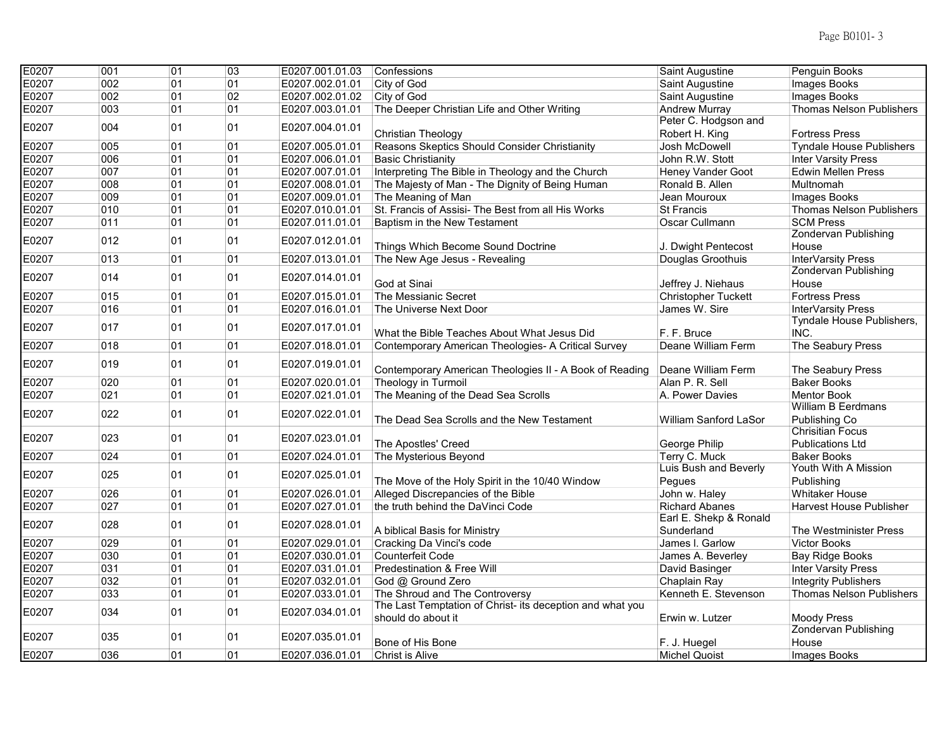| E0207<br>002<br>01<br>01<br>E0207.002.01.01<br>City of God<br>Images Books<br>Saint Augustine<br>02<br>E0207<br>002<br>01<br>E0207.002.01.02<br>City of God<br>Saint Augustine<br>Images Books<br>E0207<br>003<br>01<br>01<br>The Deeper Christian Life and Other Writing<br><b>Thomas Nelson Publishers</b><br>E0207.003.01.01<br><b>Andrew Murray</b><br>Peter C. Hodgson and<br>004<br>01<br>01<br>E0207<br>E0207.004.01.01<br>Christian Theology<br>Robert H. King<br><b>Fortress Press</b><br>005<br>01<br>Reasons Skeptics Should Consider Christianity<br>E0207<br>01<br>E0207.005.01.01<br>Josh McDowell<br><b>Tyndale House Publishers</b><br>006<br>01<br>01<br>E0207<br>E0207.006.01.01<br><b>Basic Christianity</b><br><b>Inter Varsity Press</b><br>John R.W. Stott<br>01<br>E0207<br>007<br>01<br>Interpreting The Bible in Theology and the Church<br><b>Edwin Mellen Press</b><br>E0207.007.01.01<br>Heney Vander Goot<br>008<br>01<br>E0207<br>01<br>E0207.008.01.01<br>The Majesty of Man - The Dignity of Being Human<br>Ronald B. Allen<br>Multnomah<br>E0207<br>01<br>009<br>01<br>E0207.009.01.01<br>The Meaning of Man<br>Jean Mouroux<br>Images Books<br>010<br>01<br>01<br>E0207.010.01.01<br>St. Francis of Assisi- The Best from all His Works<br><b>Thomas Nelson Publishers</b><br>E0207<br><b>St Francis</b><br>E0207<br>011<br>01<br>E0207.011.01.01<br><b>SCM Press</b><br>01<br>Baptism in the New Testament<br>Oscar Cullmann<br>Zondervan Publishing<br>012<br>01<br>01<br>E0207<br>E0207.012.01.01<br>Things Which Become Sound Doctrine<br>J. Dwight Pentecost<br>House<br>013<br>01<br>E0207<br>01<br>E0207.013.01.01<br>The New Age Jesus - Revealing<br>Douglas Groothuis<br>InterVarsity Press<br><b>Zondervan Publishing</b><br>014<br>01<br>01<br>E0207<br>E0207.014.01.01<br>God at Sinai<br>Jeffrey J. Niehaus<br>House<br>E0207<br>015<br>01<br>01<br>E0207.015.01.01<br>The Messianic Secret<br>Christopher Tuckett<br><b>Fortress Press</b><br>016<br>01<br>E0207.016.01.01<br>E0207<br>01<br>The Universe Next Door<br>James W. Sire<br>InterVarsity Press<br>Tyndale House Publishers,<br>01<br>E0207<br>017<br>01<br>E0207.017.01.01<br>INC.<br>F. F. Bruce<br>What the Bible Teaches About What Jesus Did<br>01<br>018<br>01<br>Deane William Ferm<br>The Seabury Press<br>E0207<br>E0207.018.01.01<br>Contemporary American Theologies- A Critical Survey<br>01<br>01<br>E0207<br>019<br>E0207.019.01.01<br>Contemporary American Theologies II - A Book of Reading<br>Deane William Ferm<br>The Seabury Press<br>020<br>01<br>E0207<br>01<br>E0207.020.01.01<br>Theology in Turmoil<br>Alan P. R. Sell<br><b>Baker Books</b><br>021<br>01<br>E0207<br>01<br>E0207.021.01.01<br>The Meaning of the Dead Sea Scrolls<br>A. Power Davies<br><b>Mentor Book</b><br>William B Eerdmans<br>022<br>01<br>01<br>E0207<br>E0207.022.01.01<br>The Dead Sea Scrolls and the New Testament<br>William Sanford LaSor<br>Publishing Co<br><b>Chrisitian Focus</b><br>01<br>01<br>023<br>E0207<br>E0207.023.01.01<br>The Apostles' Creed<br>George Philip<br><b>Publications Ltd</b><br>024<br>01<br>01<br>The Mysterious Beyond<br>Terry C. Muck<br>E0207<br>E0207.024.01.01<br><b>Baker Books</b><br>Luis Bush and Beverly<br>Youth With A Mission<br>E0207<br>025<br>01<br>01<br>E0207.025.01.01<br>The Move of the Holy Spirit in the 10/40 Window<br>Pegues<br>Publishing<br>E0207<br>026<br>01<br>01<br>Alleged Discrepancies of the Bible<br><b>Whitaker House</b><br>E0207.026.01.01<br>John w. Haley<br>027<br>01<br>01<br>the truth behind the DaVinci Code<br><b>Richard Abanes</b><br>E0207<br>E0207.027.01.01<br><b>Harvest House Publisher</b><br>Earl E. Shekp & Ronald<br>01<br>E0207<br>028<br>01<br>E0207.028.01.01<br>A biblical Basis for Ministry<br>Sunderland<br>The Westminister Press<br>029<br>01<br>E0207<br>01<br>E0207.029.01.01<br><b>Victor Books</b><br>Cracking Da Vinci's code<br>James I. Garlow<br>030<br>01<br>E0207<br>01<br>E0207.030.01.01<br><b>Counterfeit Code</b><br><b>Bay Ridge Books</b><br>James A. Beverley<br>031<br>01<br>01<br><b>Inter Varsity Press</b><br>E0207<br>E0207.031.01.01<br>Predestination & Free Will<br>David Basinger<br>032<br>01<br><b>Integrity Publishers</b><br>E0207<br>01<br>E0207.032.01.01<br>God @ Ground Zero<br>Chaplain Ray<br>01<br>E0207<br>033<br>01<br>The Shroud and The Controversy<br>Kenneth E. Stevenson<br><b>Thomas Nelson Publishers</b><br>E0207.033.01.01<br>The Last Temptation of Christ- its deception and what you<br>01<br>01<br>E0207<br>034<br>E0207.034.01.01<br>should do about it<br>Erwin w. Lutzer<br><b>Moody Press</b><br>Zondervan Publishing<br>01<br>01<br>E0207<br>035<br>E0207.035.01.01<br>Bone of His Bone<br>F. J. Huegel<br>House<br>036<br>01<br>01<br>E0207.036.01.01<br><b>Christ is Alive</b><br><b>Michel Quoist</b><br>Images Books | E0207 | 001 | 01 | $\overline{03}$ | E0207.001.01.03 | Confessions | Saint Augustine | Penguin Books |
|--------------------------------------------------------------------------------------------------------------------------------------------------------------------------------------------------------------------------------------------------------------------------------------------------------------------------------------------------------------------------------------------------------------------------------------------------------------------------------------------------------------------------------------------------------------------------------------------------------------------------------------------------------------------------------------------------------------------------------------------------------------------------------------------------------------------------------------------------------------------------------------------------------------------------------------------------------------------------------------------------------------------------------------------------------------------------------------------------------------------------------------------------------------------------------------------------------------------------------------------------------------------------------------------------------------------------------------------------------------------------------------------------------------------------------------------------------------------------------------------------------------------------------------------------------------------------------------------------------------------------------------------------------------------------------------------------------------------------------------------------------------------------------------------------------------------------------------------------------------------------------------------------------------------------------------------------------------------------------------------------------------------------------------------------------------------------------------------------------------------------------------------------------------------------------------------------------------------------------------------------------------------------------------------------------------------------------------------------------------------------------------------------------------------------------------------------------------------------------------------------------------------------------------------------------------------------------------------------------------------------------------------------------------------------------------------------------------------------------------------------------------------------------------------------------------------------------------------------------------------------------------------------------------------------------------------------------------------------------------------------------------------------------------------------------------------------------------------------------------------------------------------------------------------------------------------------------------------------------------------------------------------------------------------------------------------------------------------------------------------------------------------------------------------------------------------------------------------------------------------------------------------------------------------------------------------------------------------------------------------------------------------------------------------------------------------------------------------------------------------------------------------------------------------------------------------------------------------------------------------------------------------------------------------------------------------------------------------------------------------------------------------------------------------------------------------------------------------------------------------------------------------------------------------------------------------------------------------------------------------------------------------------------------------------------------------------------------------------------------------------------------------------------------------------------------------------------------------------------------------------------------------------------------------------------------------------------------------------------------------------------------------------------------------------------------------------------------------------------------------------------------------------------------------------------------------------------------------------------------------------------------------------------|-------|-----|----|-----------------|-----------------|-------------|-----------------|---------------|
|                                                                                                                                                                                                                                                                                                                                                                                                                                                                                                                                                                                                                                                                                                                                                                                                                                                                                                                                                                                                                                                                                                                                                                                                                                                                                                                                                                                                                                                                                                                                                                                                                                                                                                                                                                                                                                                                                                                                                                                                                                                                                                                                                                                                                                                                                                                                                                                                                                                                                                                                                                                                                                                                                                                                                                                                                                                                                                                                                                                                                                                                                                                                                                                                                                                                                                                                                                                                                                                                                                                                                                                                                                                                                                                                                                                                                                                                                                                                                                                                                                                                                                                                                                                                                                                                                                                                                                                                                                                                                                                                                                                                                                                                                                                                                                                                                                                                                                        |       |     |    |                 |                 |             |                 |               |
|                                                                                                                                                                                                                                                                                                                                                                                                                                                                                                                                                                                                                                                                                                                                                                                                                                                                                                                                                                                                                                                                                                                                                                                                                                                                                                                                                                                                                                                                                                                                                                                                                                                                                                                                                                                                                                                                                                                                                                                                                                                                                                                                                                                                                                                                                                                                                                                                                                                                                                                                                                                                                                                                                                                                                                                                                                                                                                                                                                                                                                                                                                                                                                                                                                                                                                                                                                                                                                                                                                                                                                                                                                                                                                                                                                                                                                                                                                                                                                                                                                                                                                                                                                                                                                                                                                                                                                                                                                                                                                                                                                                                                                                                                                                                                                                                                                                                                                        |       |     |    |                 |                 |             |                 |               |
|                                                                                                                                                                                                                                                                                                                                                                                                                                                                                                                                                                                                                                                                                                                                                                                                                                                                                                                                                                                                                                                                                                                                                                                                                                                                                                                                                                                                                                                                                                                                                                                                                                                                                                                                                                                                                                                                                                                                                                                                                                                                                                                                                                                                                                                                                                                                                                                                                                                                                                                                                                                                                                                                                                                                                                                                                                                                                                                                                                                                                                                                                                                                                                                                                                                                                                                                                                                                                                                                                                                                                                                                                                                                                                                                                                                                                                                                                                                                                                                                                                                                                                                                                                                                                                                                                                                                                                                                                                                                                                                                                                                                                                                                                                                                                                                                                                                                                                        |       |     |    |                 |                 |             |                 |               |
|                                                                                                                                                                                                                                                                                                                                                                                                                                                                                                                                                                                                                                                                                                                                                                                                                                                                                                                                                                                                                                                                                                                                                                                                                                                                                                                                                                                                                                                                                                                                                                                                                                                                                                                                                                                                                                                                                                                                                                                                                                                                                                                                                                                                                                                                                                                                                                                                                                                                                                                                                                                                                                                                                                                                                                                                                                                                                                                                                                                                                                                                                                                                                                                                                                                                                                                                                                                                                                                                                                                                                                                                                                                                                                                                                                                                                                                                                                                                                                                                                                                                                                                                                                                                                                                                                                                                                                                                                                                                                                                                                                                                                                                                                                                                                                                                                                                                                                        |       |     |    |                 |                 |             |                 |               |
|                                                                                                                                                                                                                                                                                                                                                                                                                                                                                                                                                                                                                                                                                                                                                                                                                                                                                                                                                                                                                                                                                                                                                                                                                                                                                                                                                                                                                                                                                                                                                                                                                                                                                                                                                                                                                                                                                                                                                                                                                                                                                                                                                                                                                                                                                                                                                                                                                                                                                                                                                                                                                                                                                                                                                                                                                                                                                                                                                                                                                                                                                                                                                                                                                                                                                                                                                                                                                                                                                                                                                                                                                                                                                                                                                                                                                                                                                                                                                                                                                                                                                                                                                                                                                                                                                                                                                                                                                                                                                                                                                                                                                                                                                                                                                                                                                                                                                                        |       |     |    |                 |                 |             |                 |               |
|                                                                                                                                                                                                                                                                                                                                                                                                                                                                                                                                                                                                                                                                                                                                                                                                                                                                                                                                                                                                                                                                                                                                                                                                                                                                                                                                                                                                                                                                                                                                                                                                                                                                                                                                                                                                                                                                                                                                                                                                                                                                                                                                                                                                                                                                                                                                                                                                                                                                                                                                                                                                                                                                                                                                                                                                                                                                                                                                                                                                                                                                                                                                                                                                                                                                                                                                                                                                                                                                                                                                                                                                                                                                                                                                                                                                                                                                                                                                                                                                                                                                                                                                                                                                                                                                                                                                                                                                                                                                                                                                                                                                                                                                                                                                                                                                                                                                                                        |       |     |    |                 |                 |             |                 |               |
|                                                                                                                                                                                                                                                                                                                                                                                                                                                                                                                                                                                                                                                                                                                                                                                                                                                                                                                                                                                                                                                                                                                                                                                                                                                                                                                                                                                                                                                                                                                                                                                                                                                                                                                                                                                                                                                                                                                                                                                                                                                                                                                                                                                                                                                                                                                                                                                                                                                                                                                                                                                                                                                                                                                                                                                                                                                                                                                                                                                                                                                                                                                                                                                                                                                                                                                                                                                                                                                                                                                                                                                                                                                                                                                                                                                                                                                                                                                                                                                                                                                                                                                                                                                                                                                                                                                                                                                                                                                                                                                                                                                                                                                                                                                                                                                                                                                                                                        |       |     |    |                 |                 |             |                 |               |
|                                                                                                                                                                                                                                                                                                                                                                                                                                                                                                                                                                                                                                                                                                                                                                                                                                                                                                                                                                                                                                                                                                                                                                                                                                                                                                                                                                                                                                                                                                                                                                                                                                                                                                                                                                                                                                                                                                                                                                                                                                                                                                                                                                                                                                                                                                                                                                                                                                                                                                                                                                                                                                                                                                                                                                                                                                                                                                                                                                                                                                                                                                                                                                                                                                                                                                                                                                                                                                                                                                                                                                                                                                                                                                                                                                                                                                                                                                                                                                                                                                                                                                                                                                                                                                                                                                                                                                                                                                                                                                                                                                                                                                                                                                                                                                                                                                                                                                        |       |     |    |                 |                 |             |                 |               |
|                                                                                                                                                                                                                                                                                                                                                                                                                                                                                                                                                                                                                                                                                                                                                                                                                                                                                                                                                                                                                                                                                                                                                                                                                                                                                                                                                                                                                                                                                                                                                                                                                                                                                                                                                                                                                                                                                                                                                                                                                                                                                                                                                                                                                                                                                                                                                                                                                                                                                                                                                                                                                                                                                                                                                                                                                                                                                                                                                                                                                                                                                                                                                                                                                                                                                                                                                                                                                                                                                                                                                                                                                                                                                                                                                                                                                                                                                                                                                                                                                                                                                                                                                                                                                                                                                                                                                                                                                                                                                                                                                                                                                                                                                                                                                                                                                                                                                                        |       |     |    |                 |                 |             |                 |               |
|                                                                                                                                                                                                                                                                                                                                                                                                                                                                                                                                                                                                                                                                                                                                                                                                                                                                                                                                                                                                                                                                                                                                                                                                                                                                                                                                                                                                                                                                                                                                                                                                                                                                                                                                                                                                                                                                                                                                                                                                                                                                                                                                                                                                                                                                                                                                                                                                                                                                                                                                                                                                                                                                                                                                                                                                                                                                                                                                                                                                                                                                                                                                                                                                                                                                                                                                                                                                                                                                                                                                                                                                                                                                                                                                                                                                                                                                                                                                                                                                                                                                                                                                                                                                                                                                                                                                                                                                                                                                                                                                                                                                                                                                                                                                                                                                                                                                                                        |       |     |    |                 |                 |             |                 |               |
|                                                                                                                                                                                                                                                                                                                                                                                                                                                                                                                                                                                                                                                                                                                                                                                                                                                                                                                                                                                                                                                                                                                                                                                                                                                                                                                                                                                                                                                                                                                                                                                                                                                                                                                                                                                                                                                                                                                                                                                                                                                                                                                                                                                                                                                                                                                                                                                                                                                                                                                                                                                                                                                                                                                                                                                                                                                                                                                                                                                                                                                                                                                                                                                                                                                                                                                                                                                                                                                                                                                                                                                                                                                                                                                                                                                                                                                                                                                                                                                                                                                                                                                                                                                                                                                                                                                                                                                                                                                                                                                                                                                                                                                                                                                                                                                                                                                                                                        |       |     |    |                 |                 |             |                 |               |
|                                                                                                                                                                                                                                                                                                                                                                                                                                                                                                                                                                                                                                                                                                                                                                                                                                                                                                                                                                                                                                                                                                                                                                                                                                                                                                                                                                                                                                                                                                                                                                                                                                                                                                                                                                                                                                                                                                                                                                                                                                                                                                                                                                                                                                                                                                                                                                                                                                                                                                                                                                                                                                                                                                                                                                                                                                                                                                                                                                                                                                                                                                                                                                                                                                                                                                                                                                                                                                                                                                                                                                                                                                                                                                                                                                                                                                                                                                                                                                                                                                                                                                                                                                                                                                                                                                                                                                                                                                                                                                                                                                                                                                                                                                                                                                                                                                                                                                        |       |     |    |                 |                 |             |                 |               |
|                                                                                                                                                                                                                                                                                                                                                                                                                                                                                                                                                                                                                                                                                                                                                                                                                                                                                                                                                                                                                                                                                                                                                                                                                                                                                                                                                                                                                                                                                                                                                                                                                                                                                                                                                                                                                                                                                                                                                                                                                                                                                                                                                                                                                                                                                                                                                                                                                                                                                                                                                                                                                                                                                                                                                                                                                                                                                                                                                                                                                                                                                                                                                                                                                                                                                                                                                                                                                                                                                                                                                                                                                                                                                                                                                                                                                                                                                                                                                                                                                                                                                                                                                                                                                                                                                                                                                                                                                                                                                                                                                                                                                                                                                                                                                                                                                                                                                                        |       |     |    |                 |                 |             |                 |               |
|                                                                                                                                                                                                                                                                                                                                                                                                                                                                                                                                                                                                                                                                                                                                                                                                                                                                                                                                                                                                                                                                                                                                                                                                                                                                                                                                                                                                                                                                                                                                                                                                                                                                                                                                                                                                                                                                                                                                                                                                                                                                                                                                                                                                                                                                                                                                                                                                                                                                                                                                                                                                                                                                                                                                                                                                                                                                                                                                                                                                                                                                                                                                                                                                                                                                                                                                                                                                                                                                                                                                                                                                                                                                                                                                                                                                                                                                                                                                                                                                                                                                                                                                                                                                                                                                                                                                                                                                                                                                                                                                                                                                                                                                                                                                                                                                                                                                                                        |       |     |    |                 |                 |             |                 |               |
|                                                                                                                                                                                                                                                                                                                                                                                                                                                                                                                                                                                                                                                                                                                                                                                                                                                                                                                                                                                                                                                                                                                                                                                                                                                                                                                                                                                                                                                                                                                                                                                                                                                                                                                                                                                                                                                                                                                                                                                                                                                                                                                                                                                                                                                                                                                                                                                                                                                                                                                                                                                                                                                                                                                                                                                                                                                                                                                                                                                                                                                                                                                                                                                                                                                                                                                                                                                                                                                                                                                                                                                                                                                                                                                                                                                                                                                                                                                                                                                                                                                                                                                                                                                                                                                                                                                                                                                                                                                                                                                                                                                                                                                                                                                                                                                                                                                                                                        |       |     |    |                 |                 |             |                 |               |
|                                                                                                                                                                                                                                                                                                                                                                                                                                                                                                                                                                                                                                                                                                                                                                                                                                                                                                                                                                                                                                                                                                                                                                                                                                                                                                                                                                                                                                                                                                                                                                                                                                                                                                                                                                                                                                                                                                                                                                                                                                                                                                                                                                                                                                                                                                                                                                                                                                                                                                                                                                                                                                                                                                                                                                                                                                                                                                                                                                                                                                                                                                                                                                                                                                                                                                                                                                                                                                                                                                                                                                                                                                                                                                                                                                                                                                                                                                                                                                                                                                                                                                                                                                                                                                                                                                                                                                                                                                                                                                                                                                                                                                                                                                                                                                                                                                                                                                        |       |     |    |                 |                 |             |                 |               |
|                                                                                                                                                                                                                                                                                                                                                                                                                                                                                                                                                                                                                                                                                                                                                                                                                                                                                                                                                                                                                                                                                                                                                                                                                                                                                                                                                                                                                                                                                                                                                                                                                                                                                                                                                                                                                                                                                                                                                                                                                                                                                                                                                                                                                                                                                                                                                                                                                                                                                                                                                                                                                                                                                                                                                                                                                                                                                                                                                                                                                                                                                                                                                                                                                                                                                                                                                                                                                                                                                                                                                                                                                                                                                                                                                                                                                                                                                                                                                                                                                                                                                                                                                                                                                                                                                                                                                                                                                                                                                                                                                                                                                                                                                                                                                                                                                                                                                                        |       |     |    |                 |                 |             |                 |               |
|                                                                                                                                                                                                                                                                                                                                                                                                                                                                                                                                                                                                                                                                                                                                                                                                                                                                                                                                                                                                                                                                                                                                                                                                                                                                                                                                                                                                                                                                                                                                                                                                                                                                                                                                                                                                                                                                                                                                                                                                                                                                                                                                                                                                                                                                                                                                                                                                                                                                                                                                                                                                                                                                                                                                                                                                                                                                                                                                                                                                                                                                                                                                                                                                                                                                                                                                                                                                                                                                                                                                                                                                                                                                                                                                                                                                                                                                                                                                                                                                                                                                                                                                                                                                                                                                                                                                                                                                                                                                                                                                                                                                                                                                                                                                                                                                                                                                                                        |       |     |    |                 |                 |             |                 |               |
|                                                                                                                                                                                                                                                                                                                                                                                                                                                                                                                                                                                                                                                                                                                                                                                                                                                                                                                                                                                                                                                                                                                                                                                                                                                                                                                                                                                                                                                                                                                                                                                                                                                                                                                                                                                                                                                                                                                                                                                                                                                                                                                                                                                                                                                                                                                                                                                                                                                                                                                                                                                                                                                                                                                                                                                                                                                                                                                                                                                                                                                                                                                                                                                                                                                                                                                                                                                                                                                                                                                                                                                                                                                                                                                                                                                                                                                                                                                                                                                                                                                                                                                                                                                                                                                                                                                                                                                                                                                                                                                                                                                                                                                                                                                                                                                                                                                                                                        |       |     |    |                 |                 |             |                 |               |
|                                                                                                                                                                                                                                                                                                                                                                                                                                                                                                                                                                                                                                                                                                                                                                                                                                                                                                                                                                                                                                                                                                                                                                                                                                                                                                                                                                                                                                                                                                                                                                                                                                                                                                                                                                                                                                                                                                                                                                                                                                                                                                                                                                                                                                                                                                                                                                                                                                                                                                                                                                                                                                                                                                                                                                                                                                                                                                                                                                                                                                                                                                                                                                                                                                                                                                                                                                                                                                                                                                                                                                                                                                                                                                                                                                                                                                                                                                                                                                                                                                                                                                                                                                                                                                                                                                                                                                                                                                                                                                                                                                                                                                                                                                                                                                                                                                                                                                        |       |     |    |                 |                 |             |                 |               |
|                                                                                                                                                                                                                                                                                                                                                                                                                                                                                                                                                                                                                                                                                                                                                                                                                                                                                                                                                                                                                                                                                                                                                                                                                                                                                                                                                                                                                                                                                                                                                                                                                                                                                                                                                                                                                                                                                                                                                                                                                                                                                                                                                                                                                                                                                                                                                                                                                                                                                                                                                                                                                                                                                                                                                                                                                                                                                                                                                                                                                                                                                                                                                                                                                                                                                                                                                                                                                                                                                                                                                                                                                                                                                                                                                                                                                                                                                                                                                                                                                                                                                                                                                                                                                                                                                                                                                                                                                                                                                                                                                                                                                                                                                                                                                                                                                                                                                                        |       |     |    |                 |                 |             |                 |               |
|                                                                                                                                                                                                                                                                                                                                                                                                                                                                                                                                                                                                                                                                                                                                                                                                                                                                                                                                                                                                                                                                                                                                                                                                                                                                                                                                                                                                                                                                                                                                                                                                                                                                                                                                                                                                                                                                                                                                                                                                                                                                                                                                                                                                                                                                                                                                                                                                                                                                                                                                                                                                                                                                                                                                                                                                                                                                                                                                                                                                                                                                                                                                                                                                                                                                                                                                                                                                                                                                                                                                                                                                                                                                                                                                                                                                                                                                                                                                                                                                                                                                                                                                                                                                                                                                                                                                                                                                                                                                                                                                                                                                                                                                                                                                                                                                                                                                                                        |       |     |    |                 |                 |             |                 |               |
|                                                                                                                                                                                                                                                                                                                                                                                                                                                                                                                                                                                                                                                                                                                                                                                                                                                                                                                                                                                                                                                                                                                                                                                                                                                                                                                                                                                                                                                                                                                                                                                                                                                                                                                                                                                                                                                                                                                                                                                                                                                                                                                                                                                                                                                                                                                                                                                                                                                                                                                                                                                                                                                                                                                                                                                                                                                                                                                                                                                                                                                                                                                                                                                                                                                                                                                                                                                                                                                                                                                                                                                                                                                                                                                                                                                                                                                                                                                                                                                                                                                                                                                                                                                                                                                                                                                                                                                                                                                                                                                                                                                                                                                                                                                                                                                                                                                                                                        |       |     |    |                 |                 |             |                 |               |
|                                                                                                                                                                                                                                                                                                                                                                                                                                                                                                                                                                                                                                                                                                                                                                                                                                                                                                                                                                                                                                                                                                                                                                                                                                                                                                                                                                                                                                                                                                                                                                                                                                                                                                                                                                                                                                                                                                                                                                                                                                                                                                                                                                                                                                                                                                                                                                                                                                                                                                                                                                                                                                                                                                                                                                                                                                                                                                                                                                                                                                                                                                                                                                                                                                                                                                                                                                                                                                                                                                                                                                                                                                                                                                                                                                                                                                                                                                                                                                                                                                                                                                                                                                                                                                                                                                                                                                                                                                                                                                                                                                                                                                                                                                                                                                                                                                                                                                        |       |     |    |                 |                 |             |                 |               |
|                                                                                                                                                                                                                                                                                                                                                                                                                                                                                                                                                                                                                                                                                                                                                                                                                                                                                                                                                                                                                                                                                                                                                                                                                                                                                                                                                                                                                                                                                                                                                                                                                                                                                                                                                                                                                                                                                                                                                                                                                                                                                                                                                                                                                                                                                                                                                                                                                                                                                                                                                                                                                                                                                                                                                                                                                                                                                                                                                                                                                                                                                                                                                                                                                                                                                                                                                                                                                                                                                                                                                                                                                                                                                                                                                                                                                                                                                                                                                                                                                                                                                                                                                                                                                                                                                                                                                                                                                                                                                                                                                                                                                                                                                                                                                                                                                                                                                                        |       |     |    |                 |                 |             |                 |               |
|                                                                                                                                                                                                                                                                                                                                                                                                                                                                                                                                                                                                                                                                                                                                                                                                                                                                                                                                                                                                                                                                                                                                                                                                                                                                                                                                                                                                                                                                                                                                                                                                                                                                                                                                                                                                                                                                                                                                                                                                                                                                                                                                                                                                                                                                                                                                                                                                                                                                                                                                                                                                                                                                                                                                                                                                                                                                                                                                                                                                                                                                                                                                                                                                                                                                                                                                                                                                                                                                                                                                                                                                                                                                                                                                                                                                                                                                                                                                                                                                                                                                                                                                                                                                                                                                                                                                                                                                                                                                                                                                                                                                                                                                                                                                                                                                                                                                                                        |       |     |    |                 |                 |             |                 |               |
|                                                                                                                                                                                                                                                                                                                                                                                                                                                                                                                                                                                                                                                                                                                                                                                                                                                                                                                                                                                                                                                                                                                                                                                                                                                                                                                                                                                                                                                                                                                                                                                                                                                                                                                                                                                                                                                                                                                                                                                                                                                                                                                                                                                                                                                                                                                                                                                                                                                                                                                                                                                                                                                                                                                                                                                                                                                                                                                                                                                                                                                                                                                                                                                                                                                                                                                                                                                                                                                                                                                                                                                                                                                                                                                                                                                                                                                                                                                                                                                                                                                                                                                                                                                                                                                                                                                                                                                                                                                                                                                                                                                                                                                                                                                                                                                                                                                                                                        |       |     |    |                 |                 |             |                 |               |
|                                                                                                                                                                                                                                                                                                                                                                                                                                                                                                                                                                                                                                                                                                                                                                                                                                                                                                                                                                                                                                                                                                                                                                                                                                                                                                                                                                                                                                                                                                                                                                                                                                                                                                                                                                                                                                                                                                                                                                                                                                                                                                                                                                                                                                                                                                                                                                                                                                                                                                                                                                                                                                                                                                                                                                                                                                                                                                                                                                                                                                                                                                                                                                                                                                                                                                                                                                                                                                                                                                                                                                                                                                                                                                                                                                                                                                                                                                                                                                                                                                                                                                                                                                                                                                                                                                                                                                                                                                                                                                                                                                                                                                                                                                                                                                                                                                                                                                        |       |     |    |                 |                 |             |                 |               |
|                                                                                                                                                                                                                                                                                                                                                                                                                                                                                                                                                                                                                                                                                                                                                                                                                                                                                                                                                                                                                                                                                                                                                                                                                                                                                                                                                                                                                                                                                                                                                                                                                                                                                                                                                                                                                                                                                                                                                                                                                                                                                                                                                                                                                                                                                                                                                                                                                                                                                                                                                                                                                                                                                                                                                                                                                                                                                                                                                                                                                                                                                                                                                                                                                                                                                                                                                                                                                                                                                                                                                                                                                                                                                                                                                                                                                                                                                                                                                                                                                                                                                                                                                                                                                                                                                                                                                                                                                                                                                                                                                                                                                                                                                                                                                                                                                                                                                                        |       |     |    |                 |                 |             |                 |               |
|                                                                                                                                                                                                                                                                                                                                                                                                                                                                                                                                                                                                                                                                                                                                                                                                                                                                                                                                                                                                                                                                                                                                                                                                                                                                                                                                                                                                                                                                                                                                                                                                                                                                                                                                                                                                                                                                                                                                                                                                                                                                                                                                                                                                                                                                                                                                                                                                                                                                                                                                                                                                                                                                                                                                                                                                                                                                                                                                                                                                                                                                                                                                                                                                                                                                                                                                                                                                                                                                                                                                                                                                                                                                                                                                                                                                                                                                                                                                                                                                                                                                                                                                                                                                                                                                                                                                                                                                                                                                                                                                                                                                                                                                                                                                                                                                                                                                                                        |       |     |    |                 |                 |             |                 |               |
|                                                                                                                                                                                                                                                                                                                                                                                                                                                                                                                                                                                                                                                                                                                                                                                                                                                                                                                                                                                                                                                                                                                                                                                                                                                                                                                                                                                                                                                                                                                                                                                                                                                                                                                                                                                                                                                                                                                                                                                                                                                                                                                                                                                                                                                                                                                                                                                                                                                                                                                                                                                                                                                                                                                                                                                                                                                                                                                                                                                                                                                                                                                                                                                                                                                                                                                                                                                                                                                                                                                                                                                                                                                                                                                                                                                                                                                                                                                                                                                                                                                                                                                                                                                                                                                                                                                                                                                                                                                                                                                                                                                                                                                                                                                                                                                                                                                                                                        |       |     |    |                 |                 |             |                 |               |
|                                                                                                                                                                                                                                                                                                                                                                                                                                                                                                                                                                                                                                                                                                                                                                                                                                                                                                                                                                                                                                                                                                                                                                                                                                                                                                                                                                                                                                                                                                                                                                                                                                                                                                                                                                                                                                                                                                                                                                                                                                                                                                                                                                                                                                                                                                                                                                                                                                                                                                                                                                                                                                                                                                                                                                                                                                                                                                                                                                                                                                                                                                                                                                                                                                                                                                                                                                                                                                                                                                                                                                                                                                                                                                                                                                                                                                                                                                                                                                                                                                                                                                                                                                                                                                                                                                                                                                                                                                                                                                                                                                                                                                                                                                                                                                                                                                                                                                        |       |     |    |                 |                 |             |                 |               |
|                                                                                                                                                                                                                                                                                                                                                                                                                                                                                                                                                                                                                                                                                                                                                                                                                                                                                                                                                                                                                                                                                                                                                                                                                                                                                                                                                                                                                                                                                                                                                                                                                                                                                                                                                                                                                                                                                                                                                                                                                                                                                                                                                                                                                                                                                                                                                                                                                                                                                                                                                                                                                                                                                                                                                                                                                                                                                                                                                                                                                                                                                                                                                                                                                                                                                                                                                                                                                                                                                                                                                                                                                                                                                                                                                                                                                                                                                                                                                                                                                                                                                                                                                                                                                                                                                                                                                                                                                                                                                                                                                                                                                                                                                                                                                                                                                                                                                                        |       |     |    |                 |                 |             |                 |               |
|                                                                                                                                                                                                                                                                                                                                                                                                                                                                                                                                                                                                                                                                                                                                                                                                                                                                                                                                                                                                                                                                                                                                                                                                                                                                                                                                                                                                                                                                                                                                                                                                                                                                                                                                                                                                                                                                                                                                                                                                                                                                                                                                                                                                                                                                                                                                                                                                                                                                                                                                                                                                                                                                                                                                                                                                                                                                                                                                                                                                                                                                                                                                                                                                                                                                                                                                                                                                                                                                                                                                                                                                                                                                                                                                                                                                                                                                                                                                                                                                                                                                                                                                                                                                                                                                                                                                                                                                                                                                                                                                                                                                                                                                                                                                                                                                                                                                                                        |       |     |    |                 |                 |             |                 |               |
|                                                                                                                                                                                                                                                                                                                                                                                                                                                                                                                                                                                                                                                                                                                                                                                                                                                                                                                                                                                                                                                                                                                                                                                                                                                                                                                                                                                                                                                                                                                                                                                                                                                                                                                                                                                                                                                                                                                                                                                                                                                                                                                                                                                                                                                                                                                                                                                                                                                                                                                                                                                                                                                                                                                                                                                                                                                                                                                                                                                                                                                                                                                                                                                                                                                                                                                                                                                                                                                                                                                                                                                                                                                                                                                                                                                                                                                                                                                                                                                                                                                                                                                                                                                                                                                                                                                                                                                                                                                                                                                                                                                                                                                                                                                                                                                                                                                                                                        |       |     |    |                 |                 |             |                 |               |
|                                                                                                                                                                                                                                                                                                                                                                                                                                                                                                                                                                                                                                                                                                                                                                                                                                                                                                                                                                                                                                                                                                                                                                                                                                                                                                                                                                                                                                                                                                                                                                                                                                                                                                                                                                                                                                                                                                                                                                                                                                                                                                                                                                                                                                                                                                                                                                                                                                                                                                                                                                                                                                                                                                                                                                                                                                                                                                                                                                                                                                                                                                                                                                                                                                                                                                                                                                                                                                                                                                                                                                                                                                                                                                                                                                                                                                                                                                                                                                                                                                                                                                                                                                                                                                                                                                                                                                                                                                                                                                                                                                                                                                                                                                                                                                                                                                                                                                        |       |     |    |                 |                 |             |                 |               |
|                                                                                                                                                                                                                                                                                                                                                                                                                                                                                                                                                                                                                                                                                                                                                                                                                                                                                                                                                                                                                                                                                                                                                                                                                                                                                                                                                                                                                                                                                                                                                                                                                                                                                                                                                                                                                                                                                                                                                                                                                                                                                                                                                                                                                                                                                                                                                                                                                                                                                                                                                                                                                                                                                                                                                                                                                                                                                                                                                                                                                                                                                                                                                                                                                                                                                                                                                                                                                                                                                                                                                                                                                                                                                                                                                                                                                                                                                                                                                                                                                                                                                                                                                                                                                                                                                                                                                                                                                                                                                                                                                                                                                                                                                                                                                                                                                                                                                                        |       |     |    |                 |                 |             |                 |               |
|                                                                                                                                                                                                                                                                                                                                                                                                                                                                                                                                                                                                                                                                                                                                                                                                                                                                                                                                                                                                                                                                                                                                                                                                                                                                                                                                                                                                                                                                                                                                                                                                                                                                                                                                                                                                                                                                                                                                                                                                                                                                                                                                                                                                                                                                                                                                                                                                                                                                                                                                                                                                                                                                                                                                                                                                                                                                                                                                                                                                                                                                                                                                                                                                                                                                                                                                                                                                                                                                                                                                                                                                                                                                                                                                                                                                                                                                                                                                                                                                                                                                                                                                                                                                                                                                                                                                                                                                                                                                                                                                                                                                                                                                                                                                                                                                                                                                                                        |       |     |    |                 |                 |             |                 |               |
|                                                                                                                                                                                                                                                                                                                                                                                                                                                                                                                                                                                                                                                                                                                                                                                                                                                                                                                                                                                                                                                                                                                                                                                                                                                                                                                                                                                                                                                                                                                                                                                                                                                                                                                                                                                                                                                                                                                                                                                                                                                                                                                                                                                                                                                                                                                                                                                                                                                                                                                                                                                                                                                                                                                                                                                                                                                                                                                                                                                                                                                                                                                                                                                                                                                                                                                                                                                                                                                                                                                                                                                                                                                                                                                                                                                                                                                                                                                                                                                                                                                                                                                                                                                                                                                                                                                                                                                                                                                                                                                                                                                                                                                                                                                                                                                                                                                                                                        |       |     |    |                 |                 |             |                 |               |
|                                                                                                                                                                                                                                                                                                                                                                                                                                                                                                                                                                                                                                                                                                                                                                                                                                                                                                                                                                                                                                                                                                                                                                                                                                                                                                                                                                                                                                                                                                                                                                                                                                                                                                                                                                                                                                                                                                                                                                                                                                                                                                                                                                                                                                                                                                                                                                                                                                                                                                                                                                                                                                                                                                                                                                                                                                                                                                                                                                                                                                                                                                                                                                                                                                                                                                                                                                                                                                                                                                                                                                                                                                                                                                                                                                                                                                                                                                                                                                                                                                                                                                                                                                                                                                                                                                                                                                                                                                                                                                                                                                                                                                                                                                                                                                                                                                                                                                        |       |     |    |                 |                 |             |                 |               |
|                                                                                                                                                                                                                                                                                                                                                                                                                                                                                                                                                                                                                                                                                                                                                                                                                                                                                                                                                                                                                                                                                                                                                                                                                                                                                                                                                                                                                                                                                                                                                                                                                                                                                                                                                                                                                                                                                                                                                                                                                                                                                                                                                                                                                                                                                                                                                                                                                                                                                                                                                                                                                                                                                                                                                                                                                                                                                                                                                                                                                                                                                                                                                                                                                                                                                                                                                                                                                                                                                                                                                                                                                                                                                                                                                                                                                                                                                                                                                                                                                                                                                                                                                                                                                                                                                                                                                                                                                                                                                                                                                                                                                                                                                                                                                                                                                                                                                                        |       |     |    |                 |                 |             |                 |               |
|                                                                                                                                                                                                                                                                                                                                                                                                                                                                                                                                                                                                                                                                                                                                                                                                                                                                                                                                                                                                                                                                                                                                                                                                                                                                                                                                                                                                                                                                                                                                                                                                                                                                                                                                                                                                                                                                                                                                                                                                                                                                                                                                                                                                                                                                                                                                                                                                                                                                                                                                                                                                                                                                                                                                                                                                                                                                                                                                                                                                                                                                                                                                                                                                                                                                                                                                                                                                                                                                                                                                                                                                                                                                                                                                                                                                                                                                                                                                                                                                                                                                                                                                                                                                                                                                                                                                                                                                                                                                                                                                                                                                                                                                                                                                                                                                                                                                                                        |       |     |    |                 |                 |             |                 |               |
|                                                                                                                                                                                                                                                                                                                                                                                                                                                                                                                                                                                                                                                                                                                                                                                                                                                                                                                                                                                                                                                                                                                                                                                                                                                                                                                                                                                                                                                                                                                                                                                                                                                                                                                                                                                                                                                                                                                                                                                                                                                                                                                                                                                                                                                                                                                                                                                                                                                                                                                                                                                                                                                                                                                                                                                                                                                                                                                                                                                                                                                                                                                                                                                                                                                                                                                                                                                                                                                                                                                                                                                                                                                                                                                                                                                                                                                                                                                                                                                                                                                                                                                                                                                                                                                                                                                                                                                                                                                                                                                                                                                                                                                                                                                                                                                                                                                                                                        |       |     |    |                 |                 |             |                 |               |
|                                                                                                                                                                                                                                                                                                                                                                                                                                                                                                                                                                                                                                                                                                                                                                                                                                                                                                                                                                                                                                                                                                                                                                                                                                                                                                                                                                                                                                                                                                                                                                                                                                                                                                                                                                                                                                                                                                                                                                                                                                                                                                                                                                                                                                                                                                                                                                                                                                                                                                                                                                                                                                                                                                                                                                                                                                                                                                                                                                                                                                                                                                                                                                                                                                                                                                                                                                                                                                                                                                                                                                                                                                                                                                                                                                                                                                                                                                                                                                                                                                                                                                                                                                                                                                                                                                                                                                                                                                                                                                                                                                                                                                                                                                                                                                                                                                                                                                        |       |     |    |                 |                 |             |                 |               |
|                                                                                                                                                                                                                                                                                                                                                                                                                                                                                                                                                                                                                                                                                                                                                                                                                                                                                                                                                                                                                                                                                                                                                                                                                                                                                                                                                                                                                                                                                                                                                                                                                                                                                                                                                                                                                                                                                                                                                                                                                                                                                                                                                                                                                                                                                                                                                                                                                                                                                                                                                                                                                                                                                                                                                                                                                                                                                                                                                                                                                                                                                                                                                                                                                                                                                                                                                                                                                                                                                                                                                                                                                                                                                                                                                                                                                                                                                                                                                                                                                                                                                                                                                                                                                                                                                                                                                                                                                                                                                                                                                                                                                                                                                                                                                                                                                                                                                                        |       |     |    |                 |                 |             |                 |               |
|                                                                                                                                                                                                                                                                                                                                                                                                                                                                                                                                                                                                                                                                                                                                                                                                                                                                                                                                                                                                                                                                                                                                                                                                                                                                                                                                                                                                                                                                                                                                                                                                                                                                                                                                                                                                                                                                                                                                                                                                                                                                                                                                                                                                                                                                                                                                                                                                                                                                                                                                                                                                                                                                                                                                                                                                                                                                                                                                                                                                                                                                                                                                                                                                                                                                                                                                                                                                                                                                                                                                                                                                                                                                                                                                                                                                                                                                                                                                                                                                                                                                                                                                                                                                                                                                                                                                                                                                                                                                                                                                                                                                                                                                                                                                                                                                                                                                                                        | E0207 |     |    |                 |                 |             |                 |               |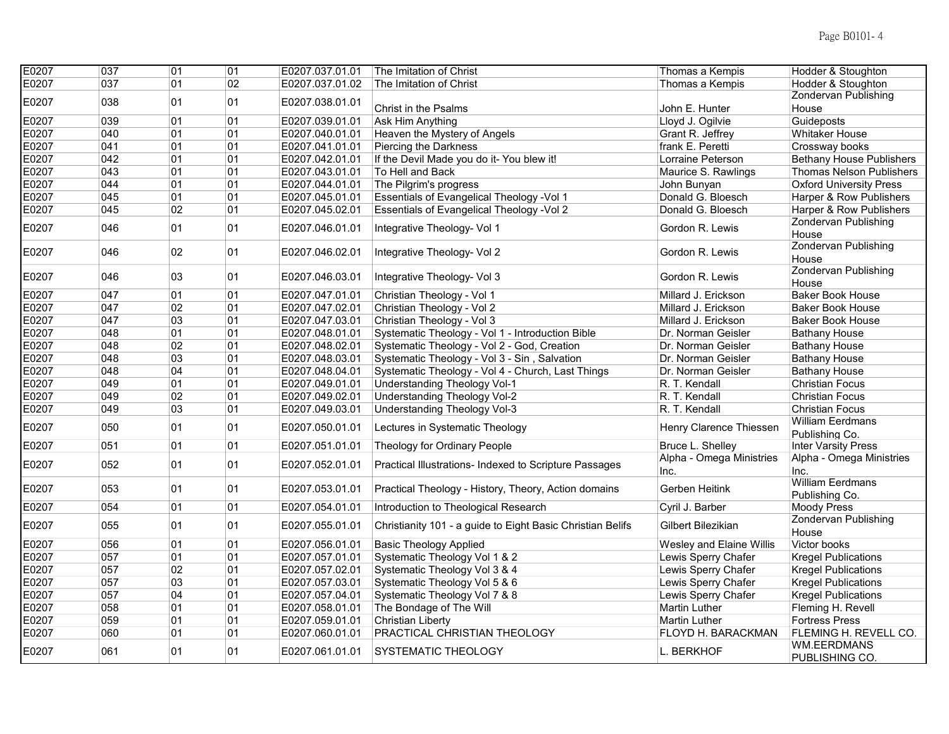| E0207 | $\overline{037}$ | $\overline{01}$ | 01 | E0207.037.01.01 | The Imitation of Christ                                    | Thomas a Kempis           | Hodder & Stoughton                        |
|-------|------------------|-----------------|----|-----------------|------------------------------------------------------------|---------------------------|-------------------------------------------|
| E0207 | 037              | 01              | 02 | E0207.037.01.02 | The Imitation of Christ                                    | Thomas a Kempis           | Hodder & Stoughton                        |
| E0207 | 038              | 01              | 01 | E0207.038.01.01 |                                                            |                           | <b>Zondervan Publishing</b>               |
|       |                  |                 |    |                 | Christ in the Psalms                                       | John E. Hunter            | House                                     |
| E0207 | 039              | 01              | 01 | E0207.039.01.01 | Ask Him Anything                                           | Lloyd J. Ogilvie          | Guideposts                                |
| E0207 | 040              | 01              | 01 | E0207.040.01.01 | Heaven the Mystery of Angels                               | Grant R. Jeffrey          | <b>Whitaker House</b>                     |
| E0207 | 041              | 01              | 01 | E0207.041.01.01 | Piercing the Darkness                                      | frank E. Peretti          | Crossway books                            |
| E0207 | 042              | 01              | 01 | E0207.042.01.01 | If the Devil Made you do it- You blew it!                  | Lorraine Peterson         | <b>Bethany House Publishers</b>           |
| E0207 | 043              | 01              | 01 | E0207.043.01.01 | To Hell and Back                                           | Maurice S. Rawlings       | Thomas Nelson Publishers                  |
| E0207 | 044              | 01              | 01 | E0207.044.01.01 | The Pilgrim's progress                                     | John Bunyan               | <b>Oxford University Press</b>            |
| E0207 | 045              | 01              | 01 | E0207.045.01.01 | <b>Essentials of Evangelical Theology - Vol 1</b>          | Donald G. Bloesch         | Harper & Row Publishers                   |
| E0207 | 045              | 02              | 01 | E0207.045.02.01 | Essentials of Evangelical Theology - Vol 2                 | Donald G. Bloesch         | Harper & Row Publishers                   |
| E0207 | 046              | 01              | 01 | E0207.046.01.01 | Integrative Theology- Vol 1                                | Gordon R. Lewis           | Zondervan Publishing<br>House             |
| E0207 | 046              | 02              | 01 | E0207.046.02.01 | Integrative Theology- Vol 2                                | Gordon R. Lewis           | Zondervan Publishing                      |
|       |                  |                 |    |                 |                                                            |                           | House                                     |
| E0207 | 046              | 03              | 01 | E0207.046.03.01 | Integrative Theology- Vol 3                                | Gordon R. Lewis           | Zondervan Publishing                      |
|       |                  |                 |    |                 |                                                            |                           | House                                     |
| E0207 | 047              | 01              | 01 | E0207.047.01.01 | Christian Theology - Vol 1                                 | Millard J. Erickson       | <b>Baker Book House</b>                   |
| E0207 | 047              | 02              | 01 | E0207.047.02.01 | Christian Theology - Vol 2                                 | Millard J. Erickson       | <b>Baker Book House</b>                   |
| E0207 | 047              | 03              | 01 | E0207.047.03.01 | Christian Theology - Vol 3                                 | Millard J. Erickson       | <b>Baker Book House</b>                   |
| E0207 | 048              | 01              | 01 | E0207.048.01.01 | Systematic Theology - Vol 1 - Introduction Bible           | Dr. Norman Geisler        | <b>Bathany House</b>                      |
| E0207 | 048              | 02              | 01 | E0207.048.02.01 | Systematic Theology - Vol 2 - God, Creation                | Dr. Norman Geisler        | <b>Bathany House</b>                      |
| E0207 | 048              | 03              | 01 | E0207.048.03.01 | Systematic Theology - Vol 3 - Sin, Salvation               | Dr. Norman Geisler        | <b>Bathany House</b>                      |
| E0207 | 048              | 04              | 01 | E0207.048.04.01 | Systematic Theology - Vol 4 - Church, Last Things          | Dr. Norman Geisler        | <b>Bathany House</b>                      |
| E0207 | 049              | 01              | 01 | E0207.049.01.01 | Understanding Theology Vol-1                               | R. T. Kendall             | <b>Christian Focus</b>                    |
| E0207 | 049              | 02              | 01 | E0207.049.02.01 | Understanding Theology Vol-2                               | R. T. Kendall             | <b>Christian Focus</b>                    |
| E0207 | 049              | 03              | 01 | E0207.049.03.01 | Understanding Theology Vol-3                               | R. T. Kendall             | <b>Christian Focus</b>                    |
| E0207 | 050              | 01              | 01 | E0207.050.01.01 | Lectures in Systematic Theology                            | Henry Clarence Thiessen   | <b>William Eerdmans</b><br>Publishing Co. |
| E0207 | 051              | 01              | 01 | E0207.051.01.01 | Theology for Ordinary People                               | Bruce L. Shelley          | <b>Inter Varsity Press</b>                |
|       |                  |                 |    |                 |                                                            | Alpha - Omega Ministries  | Alpha - Omega Ministries                  |
| E0207 | 052              | 01              | 01 | E0207.052.01.01 | Practical Illustrations- Indexed to Scripture Passages     | Inc.                      | Inc.                                      |
| E0207 | 053              | 01              | 01 | E0207.053.01.01 | Practical Theology - History, Theory, Action domains       | Gerben Heitink            | <b>William Eerdmans</b><br>Publishing Co. |
| E0207 | 054              | 01              | 01 | E0207.054.01.01 | Introduction to Theological Research                       | Cyril J. Barber           | <b>Moody Press</b>                        |
| E0207 | 055              | 01              | 01 | E0207.055.01.01 | Christianity 101 - a guide to Eight Basic Christian Belifs | Gilbert Bilezikian        | Zondervan Publishing<br>House             |
| E0207 | 056              | 01              | 01 | E0207.056.01.01 | <b>Basic Theology Applied</b>                              | Wesley and Elaine Willis  | Victor books                              |
| E0207 | 057              | 01              | 01 | E0207.057.01.01 | Systematic Theology Vol 1 & 2                              | Lewis Sperry Chafer       | <b>Kregel Publications</b>                |
| E0207 | 057              | 02              | 01 | E0207.057.02.01 | Systematic Theology Vol 3 & 4                              | Lewis Sperry Chafer       | <b>Kregel Publications</b>                |
| E0207 | 057              | 03              | 01 | E0207.057.03.01 | Systematic Theology Vol 5 & 6                              | Lewis Sperry Chafer       | <b>Kregel Publications</b>                |
| E0207 | 057              | 04              | 01 | E0207.057.04.01 | Systematic Theology Vol 7 & 8                              | Lewis Sperry Chafer       | <b>Kregel Publications</b>                |
| E0207 | 058              | 01              | 01 | E0207.058.01.01 | The Bondage of The Will                                    | <b>Martin Luther</b>      | Fleming H. Revell                         |
| E0207 | 059              | 01              | 01 | E0207.059.01.01 | <b>Christian Liberty</b>                                   | <b>Martin Luther</b>      | <b>Fortress Press</b>                     |
| E0207 | 060              | 01              | 01 | E0207.060.01.01 | PRACTICAL CHRISTIAN THEOLOGY                               | <b>FLOYD H. BARACKMAN</b> | FLEMING H. REVELL CO.                     |
| E0207 | 061              | 01              | 01 | E0207.061.01.01 | <b>SYSTEMATIC THEOLOGY</b>                                 | L. BERKHOF                | <b>WM.EERDMANS</b><br>PUBLISHING CO.      |